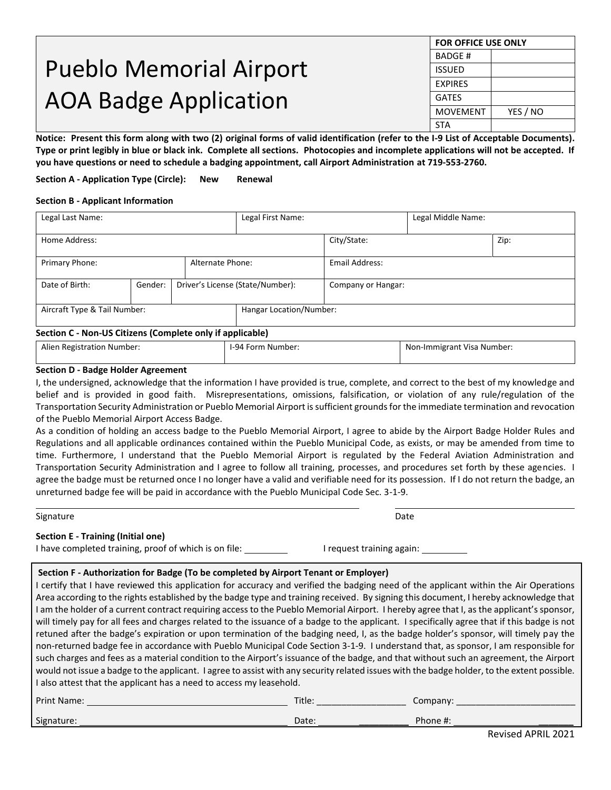# Pueblo Memorial Airport AOA Badge Application

| <b>FOR OFFICE USE ONLY</b> |          |  |  |  |  |
|----------------------------|----------|--|--|--|--|
| <b>BADGE#</b>              |          |  |  |  |  |
| <b>ISSUED</b>              |          |  |  |  |  |
| <b>EXPIRES</b>             |          |  |  |  |  |
| <b>GATES</b>               |          |  |  |  |  |
| <b>MOVEMENT</b>            | YES / NO |  |  |  |  |
| <b>STA</b>                 |          |  |  |  |  |

**Notice: Present this form along with two (2) original forms of valid identification (refer to the I-9 List of Acceptable Documents). Type or print legibly in blue or black ink. Complete all sections. Photocopies and incomplete applications will not be accepted. If you have questions or need to schedule a badging appointment, call Airport Administration at 719-553-2760.**

**Section A - Application Type (Circle): New Renewal**

#### **Section B - Applicant Information**

| Legal Last Name:                                         |  |  | Legal First Name:                |                    | Legal Middle Name: |      |
|----------------------------------------------------------|--|--|----------------------------------|--------------------|--------------------|------|
| Home Address:                                            |  |  |                                  | City/State:        |                    | Zip: |
| Primary Phone:<br>Alternate Phone:                       |  |  |                                  | Email Address:     |                    |      |
| Date of Birth:<br>Gender:                                |  |  | Driver's License (State/Number): | Company or Hangar: |                    |      |
| Aircraft Type & Tail Number:                             |  |  | Hangar Location/Number:          |                    |                    |      |
| Section C - Non-US Citizens (Complete only if annicable) |  |  |                                  |                    |                    |      |

#### **Section C - Non-US Citizens (Complete only if applicable)**

| i Number:<br>stration<br>Alier<br>Regist. | I-94<br>. Number<br>Forr | : Visa Number:<br>Non-Immigrant |
|-------------------------------------------|--------------------------|---------------------------------|
|-------------------------------------------|--------------------------|---------------------------------|

#### **Section D - Badge Holder Agreement**

I, the undersigned, acknowledge that the information I have provided is true, complete, and correct to the best of my knowledge and belief and is provided in good faith. Misrepresentations, omissions, falsification, or violation of any rule/regulation of the Transportation Security Administration or Pueblo Memorial Airport is sufficient grounds for the immediate termination and revocation of the Pueblo Memorial Airport Access Badge.

As a condition of holding an access badge to the Pueblo Memorial Airport, I agree to abide by the Airport Badge Holder Rules and Regulations and all applicable ordinances contained within the Pueblo Municipal Code, as exists, or may be amended from time to time. Furthermore, I understand that the Pueblo Memorial Airport is regulated by the Federal Aviation Administration and Transportation Security Administration and I agree to follow all training, processes, and procedures set forth by these agencies. I agree the badge must be returned once I no longer have a valid and verifiable need for its possession. If I do not return the badge, an unreturned badge fee will be paid in accordance with the Pueblo Municipal Code Sec. 3-1-9.

| Signature                                 | Date |
|-------------------------------------------|------|
| <b>Section E - Training (Initial one)</b> |      |

I have completed training, proof of which is on file: I request training again: I request training again:

#### **Section F - Authorization for Badge (To be completed by Airport Tenant or Employer)**

I certify that I have reviewed this application for accuracy and verified the badging need of the applicant within the Air Operations Area according to the rights established by the badge type and training received. By signing this document, I hereby acknowledge that I am the holder of a current contract requiring access to the Pueblo Memorial Airport. I hereby agree that I, as the applicant's sponsor, will timely pay for all fees and charges related to the issuance of a badge to the applicant. I specifically agree that if this badge is not retuned after the badge's expiration or upon termination of the badging need, I, as the badge holder's sponsor, will timely pay the non-returned badge fee in accordance with Pueblo Municipal Code Section 3-1-9. I understand that, as sponsor, I am responsible for such charges and fees as a material condition to the Airport's issuance of the badge, and that without such an agreement, the Airport would not issue a badge to the applicant. I agree to assist with any security related issues with the badge holder, to the extent possible. I also attest that the applicant has a need to access my leasehold.

| Print<br>Mame.       | Title.<br>____________________ | company.<br>_____<br>__________ |
|----------------------|--------------------------------|---------------------------------|
| $\sim$<br>Signature: | Date:                          | Phone #.                        |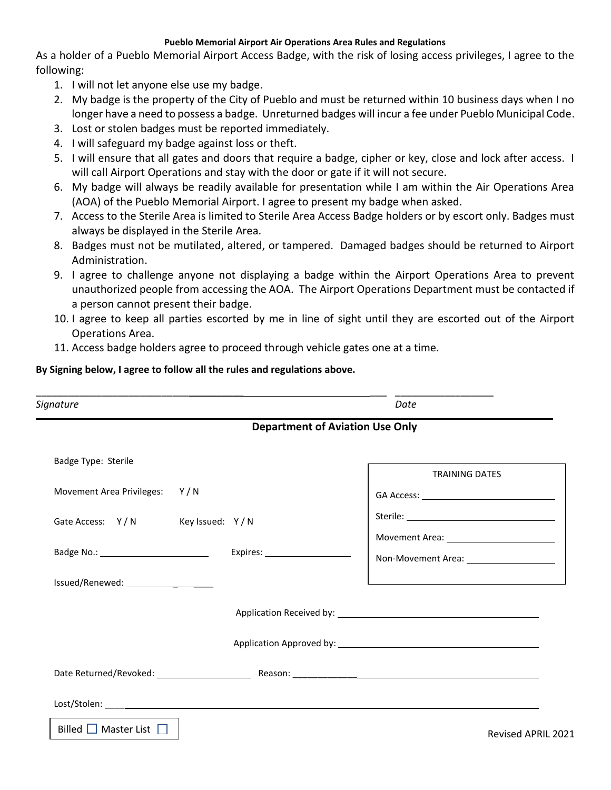#### **Pueblo Memorial Airport Air Operations Area Rules and Regulations**

As a holder of a Pueblo Memorial Airport Access Badge, with the risk of losing access privileges, I agree to the following:

- 1. I will not let anyone else use my badge.
- 2. My badge is the property of the City of Pueblo and must be returned within 10 business days when I no longer have a need to possess a badge. Unreturned badges will incur a fee under Pueblo Municipal Code.
- 3. Lost or stolen badges must be reported immediately.
- 4. I will safeguard my badge against loss or theft.
- 5. I will ensure that all gates and doors that require a badge, cipher or key, close and lock after access. I will call Airport Operations and stay with the door or gate if it will not secure.
- 6. My badge will always be readily available for presentation while I am within the Air Operations Area (AOA) of the Pueblo Memorial Airport. I agree to present my badge when asked.
- 7. Access to the Sterile Area is limited to Sterile Area Access Badge holders or by escort only. Badges must always be displayed in the Sterile Area.
- 8. Badges must not be mutilated, altered, or tampered. Damaged badges should be returned to Airport Administration.
- 9. I agree to challenge anyone not displaying a badge within the Airport Operations Area to prevent unauthorized people from accessing the AOA. The Airport Operations Department must be contacted if a person cannot present their badge.
- 10. I agree to keep all parties escorted by me in line of sight until they are escorted out of the Airport Operations Area.
- 11. Access badge holders agree to proceed through vehicle gates one at a time.

#### **By Signing below, I agree to follow all the rules and regulations above.**

| Signature                        | Date                                     |
|----------------------------------|------------------------------------------|
|                                  | <b>Department of Aviation Use Only</b>   |
| Badge Type: Sterile              | <b>TRAINING DATES</b>                    |
| Movement Area Privileges: Y/N    |                                          |
| Gate Access: Y/N Key Issued: Y/N |                                          |
|                                  | Non-Movement Area: _____________________ |
|                                  |                                          |
|                                  |                                          |
|                                  |                                          |
|                                  |                                          |
|                                  |                                          |
| Billed $\Box$ Master List $\Box$ | <b>Revised APRIL 202</b>                 |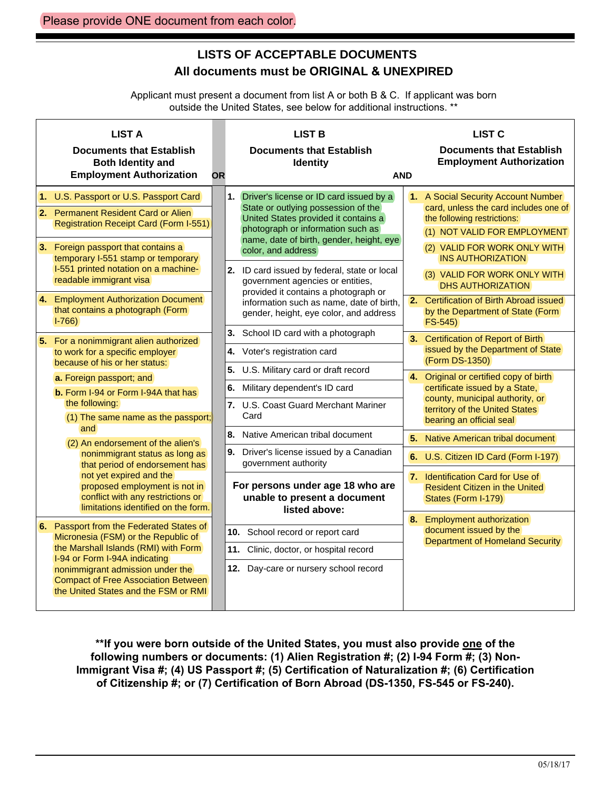# **LISTS OF ACCEPTABLE DOCUMENTS All documents must be ORIGINAL & UNEXPIRED**

Applicant must present a document from list A or both B & C. If applicant was born outside the United States, see below for additional instructions. \*\*

| <b>LIST A</b><br><b>Documents that Establish</b><br><b>Both Identity and</b><br><b>Employment Authorization</b>                                                                                                                                                                                                                                            | <b>OR</b>                                                                                                           | <b>LIST B</b><br><b>Documents that Establish</b><br><b>Identity</b><br><b>AND</b>                                                                                                                                                                                                                                                                                                                        |                                                                                          | <b>LIST C</b><br><b>Documents that Establish</b><br><b>Employment Authorization</b>                                                                                                                                                                                                                            |
|------------------------------------------------------------------------------------------------------------------------------------------------------------------------------------------------------------------------------------------------------------------------------------------------------------------------------------------------------------|---------------------------------------------------------------------------------------------------------------------|----------------------------------------------------------------------------------------------------------------------------------------------------------------------------------------------------------------------------------------------------------------------------------------------------------------------------------------------------------------------------------------------------------|------------------------------------------------------------------------------------------|----------------------------------------------------------------------------------------------------------------------------------------------------------------------------------------------------------------------------------------------------------------------------------------------------------------|
| 1. U.S. Passport or U.S. Passport Card<br>2. Permanent Resident Card or Alien<br><b>Registration Receipt Card (Form I-551)</b><br>3. Foreign passport that contains a<br>temporary I-551 stamp or temporary<br>I-551 printed notation on a machine-<br>readable immigrant visa<br>4. Employment Authorization Document<br>that contains a photograph (Form |                                                                                                                     | 1. Driver's license or ID card issued by a<br>State or outlying possession of the<br>United States provided it contains a<br>photograph or information such as<br>name, date of birth, gender, height, eye<br>color, and address<br>2. ID card issued by federal, state or local<br>government agencies or entities,<br>provided it contains a photograph or<br>information such as name, date of birth, |                                                                                          | 1. A Social Security Account Number<br>card, unless the card includes one of<br>the following restrictions:<br>(1) NOT VALID FOR EMPLOYMENT<br>(2) VALID FOR WORK ONLY WITH<br><b>INS AUTHORIZATION</b><br>(3) VALID FOR WORK ONLY WITH<br><b>DHS AUTHORIZATION</b><br>2. Certification of Birth Abroad issued |
| $1-766$<br>5. For a nonimmigrant alien authorized<br>to work for a specific employer<br>because of his or her status:<br>a. Foreign passport; and<br>b. Form I-94 or Form I-94A that has<br>the following:<br>(1) The same name as the passport;                                                                                                           |                                                                                                                     | gender, height, eye color, and address<br>3. School ID card with a photograph<br>Voter's registration card<br>4.<br>5.<br>U.S. Military card or draft record<br>6.<br>Military dependent's ID card<br>7. U.S. Coast Guard Merchant Mariner<br>Card                                                                                                                                                       | 4.                                                                                       | by the Department of State (Form)<br>$FS-545$<br>3. Certification of Report of Birth<br>issued by the Department of State<br>(Form DS-1350)<br>Original or certified copy of birth<br>certificate issued by a State,<br>county, municipal authority, or<br>territory of the United States                      |
| and<br>(2) An endorsement of the alien's<br>nonimmigrant status as long as<br>that period of endorsement has<br>not yet expired and the<br>proposed employment is not in<br>conflict with any restrictions or<br>limitations identified on the form.                                                                                                       |                                                                                                                     | 8. Native American tribal document<br>9.<br>Driver's license issued by a Canadian<br>government authority<br>For persons under age 18 who are<br>unable to present a document<br>listed above:                                                                                                                                                                                                           | 5 <sub>1</sub>                                                                           | bearing an official seal<br>Native American tribal document<br>6. U.S. Citizen ID Card (Form I-197)<br>7. Identification Card for Use of<br><b>Resident Citizen in the United</b><br>States (Form I-179)                                                                                                       |
| 6. Passport from the Federated States of<br>Micronesia (FSM) or the Republic of<br>the Marshall Islands (RMI) with Form<br>I-94 or Form I-94A indicating<br>nonimmigrant admission under the<br><b>Compact of Free Association Between</b><br>the United States and the FSM or RMI                                                                         | 10. School record or report card<br>11. Clinic, doctor, or hospital record<br>12. Day-care or nursery school record |                                                                                                                                                                                                                                                                                                                                                                                                          | 8. Employment authorization<br>document issued by the<br>Department of Homeland Security |                                                                                                                                                                                                                                                                                                                |

\*\*If you were born outside of the United States, you must also provide one of the **following numbers or documents: (1) Alien Registration #; (2) I-94 Form #; (3) Non-Immigrant Visa #; (4) US Passport #; (5) Certification of Naturalization #; (6) Certification of Citizenship #; or (7) Certification of Born Abroad (DS-1350, FS-545 or FS-240).**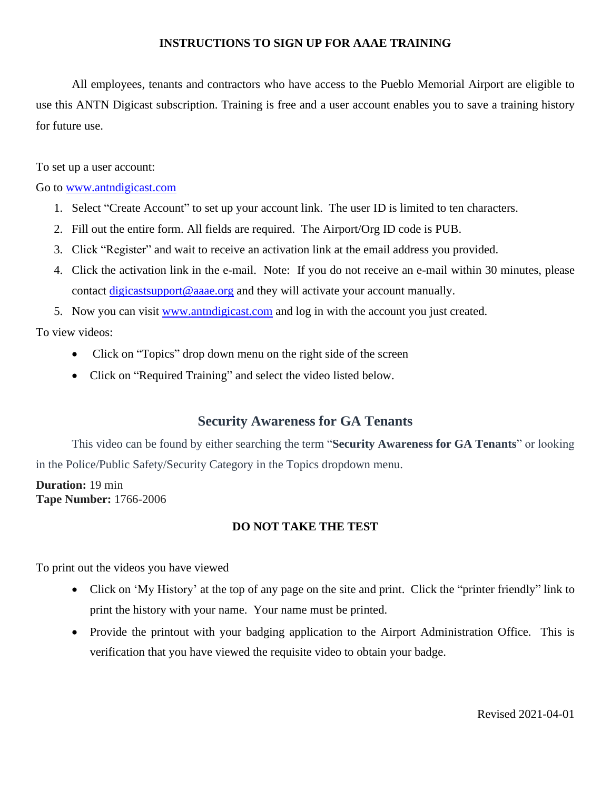### **INSTRUCTIONS TO SIGN UP FOR AAAE TRAINING**

All employees, tenants and contractors who have access to the Pueblo Memorial Airport are eligible to use this ANTN Digicast subscription. Training is free and a user account enables you to save a training history for future use.

To set up a user account:

#### Go to [www.antndigicast.com](http://www.antndigicast.com/)

- 1. Select "Create Account" to set up your account link. The user ID is limited to ten characters.
- 2. Fill out the entire form. All fields are required. The Airport/Org ID code is PUB.
- 3. Click "Register" and wait to receive an activation link at the email address you provided.
- 4. Click the activation link in the e-mail. Note: If you do not receive an e-mail within 30 minutes, please contact [digicastsupport@aaae.org](mailto:digicastsupport@aaae.org) and they will activate your account manually.
- 5. Now you can visit [www.antndigicast.com](http://www.antngigicast.com/) and log in with the account you just created.

To view videos:

- Click on "Topics" drop down menu on the right side of the screen
- Click on "Required Training" and select the video listed below.

## **Security Awareness for GA Tenants**

This video can be found by either searching the term "**Security Awareness for GA Tenants**" or looking in the Police/Public Safety/Security Category in the Topics dropdown menu.

**Duration:** 19 min **Tape Number:** 1766-2006

### **DO NOT TAKE THE TEST**

To print out the videos you have viewed

- Click on 'My History' at the top of any page on the site and print. Click the "printer friendly" link to print the history with your name. Your name must be printed.
- Provide the printout with your badging application to the Airport Administration Office. This is verification that you have viewed the requisite video to obtain your badge.